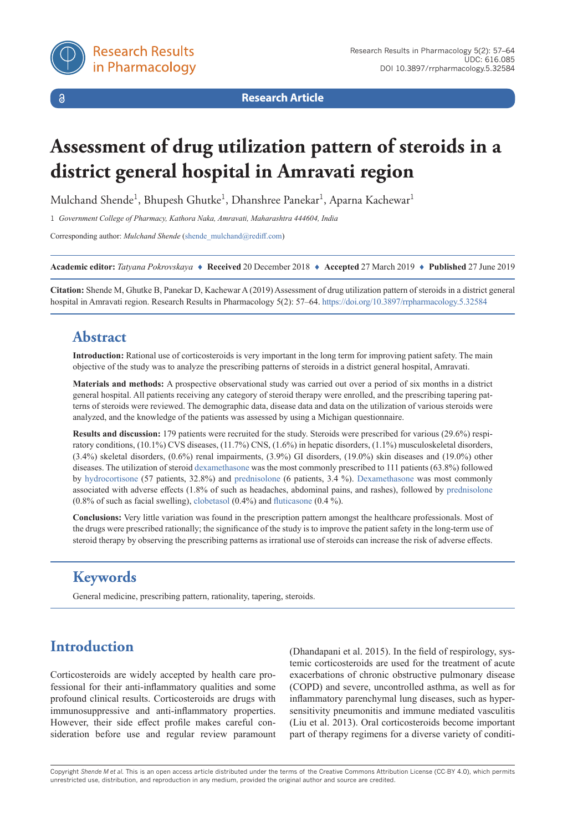

 $\delta$ 

**Research Article**

# **Assessment of drug utilization pattern of steroids in a district general hospital in Amravati region**

Mulchand Shende<sup>1</sup>, Bhupesh Ghutke<sup>1</sup>, Dhanshree Panekar<sup>1</sup>, Aparna Kachewar<sup>1</sup>

1 *Government College of Pharmacy, Kathora Naka, Amravati, Maharashtra 444604, India*

Corresponding author: *Mulchand Shende* ([shende\\_mulchand@rediff.com](mailto:shende_mulchand@rediff.com))

**Academic editor:** *Tatyana Pokrovskaya* ♦ **Received** 20 December 2018 ♦ **Accepted** 27 March 2019 ♦ **Published** 27 June 2019

**Citation:** Shende M, Ghutke B, Panekar D, Kachewar A (2019) Assessment of drug utilization pattern of steroids in a district general hospital in Amravati region. Research Results in Pharmacology 5(2): 57–64.<https://doi.org/10.3897/rrpharmacology.5.32584>

# **Abstract**

**Introduction:** Rational use of corticosteroids is very important in the long term for improving patient safety. The main objective of the study was to analyze the prescribing patterns of steroids in a district general hospital, Amravati.

**Materials and methods:** A prospective observational study was carried out over a period of six months in a district general hospital. All patients receiving any category of steroid therapy were enrolled, and the prescribing tapering patterns of steroids were reviewed. The demographic data, disease data and data on the utilization of various steroids were analyzed, and the knowledge of the patients was assessed by using a Michigan questionnaire.

**Results and discussion:** 179 patients were recruited for the study. Steroids were prescribed for various (29.6%) respiratory conditions, (10.1%) CVS diseases, (11.7%) CNS, (1.6%) in hepatic disorders, (1.1%) musculoskeletal disorders, (3.4%) skeletal disorders, (0.6%) renal impairments, (3.9%) GI disorders, (19.0%) skin diseases and (19.0%) other diseases. The utilization of steroid [dexamethasone](https://pubchem.ncbi.nlm.nih.gov/compound/Dexamethasone) was the most commonly prescribed to 111 patients (63.8%) followed by [hydrocortisone](https://pubchem.ncbi.nlm.nih.gov/compound/hydrocortisone) (57 patients, 32.8%) and [prednisolone](https://pubchem.ncbi.nlm.nih.gov/compound/Prednisolone) (6 patients, 3.4 %). [Dexamethasone](https://pubchem.ncbi.nlm.nih.gov/compound/Dexamethasone) was most commonly associated with adverse effects (1.8% of such as headaches, abdominal pains, and rashes), followed by [prednisolone](https://pubchem.ncbi.nlm.nih.gov/compound/Prednisolone) (0.8% of such as facial swelling), [clobetasol](https://pubchem.ncbi.nlm.nih.gov/compound/Clobetasol) (0.4%) and [fluticasone](https://pubchem.ncbi.nlm.nih.gov/compound/Fluticasone) (0.4 %).

**Conclusions:** Very little variation was found in the prescription pattern amongst the healthcare professionals. Most of the drugs were prescribed rationally; the significance of the study is to improve the patient safety in the long-term use of steroid therapy by observing the prescribing patterns as irrational use of steroids can increase the risk of adverse effects.

# **Keywords**

General medicine, prescribing pattern, rationality, tapering, steroids.

# **Introduction**

Corticosteroids are widely accepted by health care professional for their anti-inflammatory qualities and some profound clinical results. Corticosteroids are drugs with immunosuppressive and anti-inflammatory properties. However, their side effect profile makes careful consideration before use and regular review paramount

(Dhandapani et al. 2015). In the field of respirology, systemic corticosteroids are used for the treatment of acute exacerbations of chronic obstructive pulmonary disease (COPD) and severe, uncontrolled asthma, as well as for inflammatory parenchymal lung diseases, such as hypersensitivity pneumonitis and immune mediated vasculitis (Liu et al. 2013). Oral corticosteroids become important part of therapy regimens for a diverse variety of conditi-

Copyright *Shende M et al.* This is an open access article distributed under the terms of the Creative Commons Attribution License (CC-BY 4.0), which permits unrestricted use, distribution, and reproduction in any medium, provided the original author and source are credited.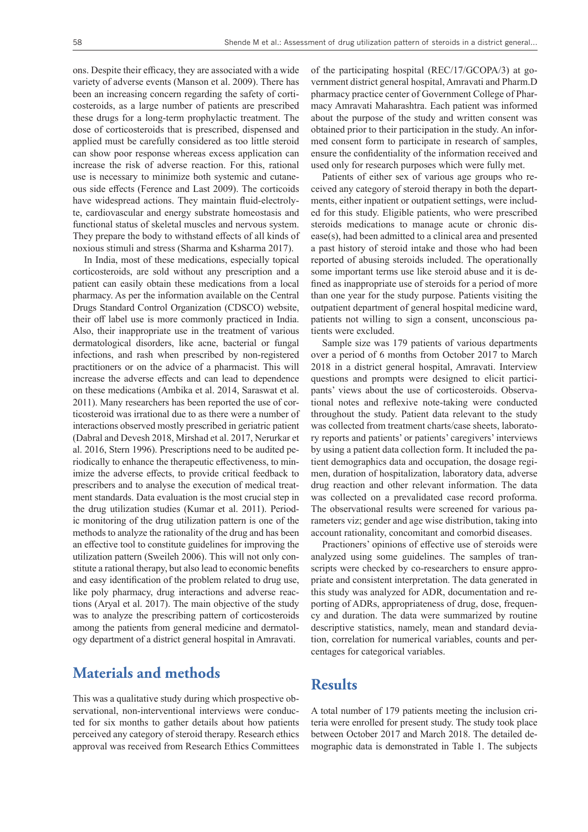ons. Despite their efficacy, they are associated with a wide variety of adverse events (Manson et al. 2009). There has been an increasing concern regarding the safety of corticosteroids, as a large number of patients are prescribed these drugs for a long-term prophylactic treatment. The dose of corticosteroids that is prescribed, dispensed and applied must be carefully considered as too little steroid can show poor response whereas excess application can increase the risk of adverse reaction. For this, rational use is necessary to minimize both systemic and cutaneous side effects (Ference and Last 2009). The corticoids have widespread actions. They maintain fluid-electrolyte, cardiovascular and energy substrate homeostasis and functional status of skeletal muscles and nervous system. They prepare the body to withstand effects of all kinds of noxious stimuli and stress (Sharma and Ksharma 2017).

In India, most of these medications, especially topical corticosteroids, are sold without any prescription and a patient can easily obtain these medications from a local pharmacy. As per the information available on the Central Drugs Standard Control Organization (CDSCO) website, their off label use is more commonly practiced in India. Also, their inappropriate use in the treatment of various dermatological disorders, like acne, bacterial or fungal infections, and rash when prescribed by non-registered practitioners or on the advice of a pharmacist. This will increase the adverse effects and can lead to dependence on these medications (Ambika et al. 2014, Saraswat et al. 2011). Many researchers has been reported the use of corticosteroid was irrational due to as there were a number of interactions observed mostly prescribed in geriatric patient (Dabral and Devesh 2018, Mirshad et al. 2017, Nerurkar et al. 2016, Stern 1996). Prescriptions need to be audited periodically to enhance the therapeutic effectiveness, to minimize the adverse effects, to provide critical feedback to prescribers and to analyse the execution of medical treatment standards. Data evaluation is the most crucial step in the drug utilization studies (Kumar et al. 2011). Periodic monitoring of the drug utilization pattern is one of the methods to analyze the rationality of the drug and has been an effective tool to constitute guidelines for improving the utilization pattern (Sweileh 2006). This will not only constitute a rational therapy, but also lead to economic benefits and easy identification of the problem related to drug use, like poly pharmacy, drug interactions and adverse reactions (Aryal et al. 2017). The main objective of the study was to analyze the prescribing pattern of corticosteroids among the patients from general medicine and dermatology department of a district general hospital in Amravati.

## **Materials and methods**

This was a qualitative study during which prospective observational, non-interventional interviews were conducted for six months to gather details about how patients perceived any category of steroid therapy. Research ethics approval was received from Research Ethics Committees

of the participating hospital (REC/17/GCOPA/3) at government district general hospital, Amravati and Pharm.D pharmacy practice center of Government College of Pharmacy Amravati Maharashtra. Each patient was informed about the purpose of the study and written consent was obtained prior to their participation in the study. An informed consent form to participate in research of samples, ensure the confidentiality of the information received and used only for research purposes which were fully met.

Patients of either sex of various age groups who received any category of steroid therapy in both the departments, either inpatient or outpatient settings, were included for this study. Eligible patients, who were prescribed steroids medications to manage acute or chronic disease(s), had been admitted to a clinical area and presented a past history of steroid intake and those who had been reported of abusing steroids included. The operationally some important terms use like steroid abuse and it is defined as inappropriate use of steroids for a period of more than one year for the study purpose. Patients visiting the outpatient department of general hospital medicine ward, patients not willing to sign a consent, unconscious patients were excluded.

Sample size was 179 patients of various departments over a period of 6 months from October 2017 to March 2018 in a district general hospital, Amravati. Interview questions and prompts were designed to elicit participants' views about the use of corticosteroids. Observational notes and reflexive note-taking were conducted throughout the study. Patient data relevant to the study was collected from treatment charts/case sheets, laboratory reports and patients' or patients' caregivers' interviews by using a patient data collection form. It included the patient demographics data and occupation, the dosage regimen, duration of hospitalization, laboratory data, adverse drug reaction and other relevant information. The data was collected on a prevalidated case record proforma. The observational results were screened for various parameters viz; gender and age wise distribution, taking into account rationality, concomitant and comorbid diseases.

Practioners' opinions of effective use of steroids were analyzed using some guidelines. The samples of transcripts were checked by co-researchers to ensure appropriate and consistent interpretation. The data generated in this study was analyzed for ADR, documentation and reporting of ADRs, appropriateness of drug, dose, frequency and duration. The data were summarized by routine descriptive statistics, namely, mean and standard deviation, correlation for numerical variables, counts and percentages for categorical variables.

#### **Results**

A total number of 179 patients meeting the inclusion criteria were enrolled for present study. The study took place between October 2017 and March 2018. The detailed demographic data is demonstrated in Table 1. The subjects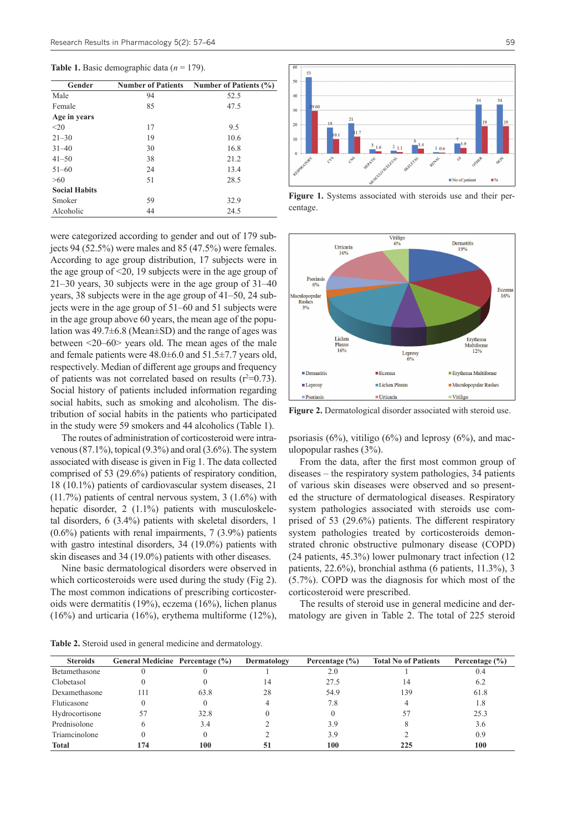**Table 1.** Basic demographic data (*n* = 179).

| Gender               | <b>Number of Patients</b> | Number of Patients (%) |
|----------------------|---------------------------|------------------------|
| Male                 | 94                        | 52.5                   |
| Female               | 85                        | 47.5                   |
| Age in years         |                           |                        |
| $20$                 | 17                        | 9.5                    |
| $21 - 30$            | 19                        | 10.6                   |
| $31 - 40$            | 30                        | 16.8                   |
| $41 - 50$            | 38                        | 21.2                   |
| $51 - 60$            | 24                        | 13.4                   |
| >60                  | 51                        | 28.5                   |
| <b>Social Habits</b> |                           |                        |
| Smoker               | 59                        | 32.9                   |
| Alcoholic            | 44                        | 24.5                   |

were categorized according to gender and out of 179 subjects 94 (52.5%) were males and 85 (47.5%) were females. According to age group distribution, 17 subjects were in the age group of  $\leq 20$ , 19 subjects were in the age group of 21–30 years, 30 subjects were in the age group of 31–40 years, 38 subjects were in the age group of 41–50, 24 subjects were in the age group of 51–60 and 51 subjects were in the age group above 60 years, the mean age of the population was 49.7±6.8 (Mean±SD) and the range of ages was between <20–60> years old. The mean ages of the male and female patients were 48.0±6.0 and 51.5±7.7 years old, respectively. Median of different age groups and frequency of patients was not correlated based on results  $(r^2=0.73)$ . Social history of patients included information regarding social habits, such as smoking and alcoholism. The distribution of social habits in the patients who participated in the study were 59 smokers and 44 alcoholics (Table 1).

The routes of administration of corticosteroid were intravenous  $(87.1\%)$ , topical  $(9.3\%)$  and oral  $(3.6\%)$ . The system associated with disease is given in Fig 1. The data collected comprised of 53 (29.6%) patients of respiratory condition, 18 (10.1%) patients of cardiovascular system diseases, 21 (11.7%) patients of central nervous system, 3 (1.6%) with hepatic disorder, 2 (1.1%) patients with musculoskeletal disorders, 6 (3.4%) patients with skeletal disorders, 1  $(0.6\%)$  patients with renal impairments,  $7(3.9\%)$  patients with gastro intestinal disorders, 34 (19.0%) patients with skin diseases and 34 (19.0%) patients with other diseases.

Nine basic dermatological disorders were observed in which corticosteroids were used during the study (Fig 2). The most common indications of prescribing corticosteroids were dermatitis (19%), eczema (16%), lichen planus (16%) and urticaria (16%), erythema multiforme (12%),



**Figure 1.** Systems associated with steroids use and their percentage.



**Figure 2.** Dermatological disorder associated with steroid use.

psoriasis (6%), vitiligo (6%) and leprosy (6%), and maculopopular rashes (3%).

From the data, after the first most common group of diseases – the respiratory system pathologies, 34 patients of various skin diseases were observed and so presented the structure of dermatological diseases. Respiratory system pathologies associated with steroids use comprised of 53 (29.6%) patients. The different respiratory system pathologies treated by corticosteroids demonstrated chronic obstructive pulmonary disease (COPD) (24 patients, 45.3%) lower pulmonary tract infection (12 patients, 22.6%), bronchial asthma (6 patients, 11.3%), 3 (5.7%). COPD was the diagnosis for which most of the corticosteroid were prescribed.

The results of steroid use in general medicine and dermatology are given in Table 2. The total of 225 steroid

**Table 2.** Steroid used in general medicine and dermatology.

| <b>Steroids</b>      | General Medicine Percentage (%) |      | Dermatology | Percentage $(\% )$ | <b>Total No of Patients</b> | Percentage $(\% )$ |
|----------------------|---------------------------------|------|-------------|--------------------|-----------------------------|--------------------|
| <b>Betamethasone</b> |                                 |      |             | 2.0                |                             | 0.4                |
| Clobetasol           |                                 |      | 4           | 27.5               |                             | 6.2                |
| Dexamethasone        | 111                             | 63.8 | 28          | 54.9               | 139                         | 61.8               |
| Fluticasone          |                                 |      |             | 7.8                |                             | 1.8                |
| Hydrocortisone       |                                 | 32.8 |             |                    |                             | 25.3               |
| Prednisolone         |                                 | 3.4  |             | 3.9                |                             | 3.6                |
| Triamcinolone        |                                 |      |             | 3.9                |                             | 0.9                |
| <b>Total</b>         | 174                             | 100  | 51          | 100                | 225                         | 100                |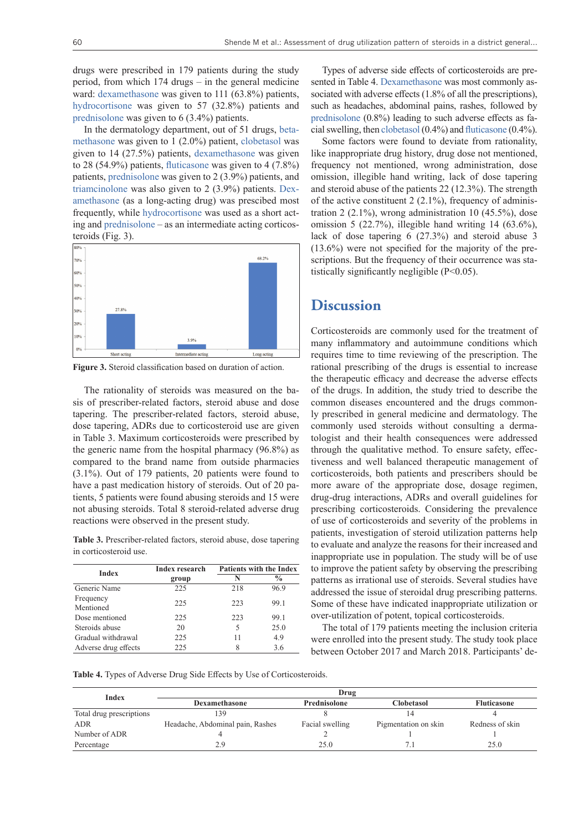drugs were prescribed in 179 patients during the study period, from which 174 drugs – in the general medicine ward: [dexamethasone](https://pubchem.ncbi.nlm.nih.gov/compound/Dexamethasone) was given to 111 (63.8%) patients, [hydrocortisone](https://pubchem.ncbi.nlm.nih.gov/compound/hydrocortisone) was given to 57 (32.8%) patients and [prednisolone](https://pubchem.ncbi.nlm.nih.gov/compound/Prednisolone) was given to 6 (3.4%) patients.

In the dermatology department, out of 51 drugs, [beta](https://pubchem.ncbi.nlm.nih.gov/compound/Betamethasone)[methasone](https://pubchem.ncbi.nlm.nih.gov/compound/Betamethasone) was given to 1 (2.0%) patient, [clobetasol](https://pubchem.ncbi.nlm.nih.gov/compound/Clobetasol) was given to 14 (27.5%) patients, [dexamethasone](https://pubchem.ncbi.nlm.nih.gov/compound/Dexamethasone) was given to 28 (54.9%) patients, [fluticasone](https://pubchem.ncbi.nlm.nih.gov/compound/Fluticasone) was given to 4 (7.8%) patients, [prednisolone](https://pubchem.ncbi.nlm.nih.gov/compound/Prednisolone) was given to 2 (3.9%) patients, and [triamcinolone](https://pubchem.ncbi.nlm.nih.gov/compound/Triamcinolone) was also given to 2 (3.9%) patients. [Dex](https://pubchem.ncbi.nlm.nih.gov/compound/Dexamethasone)[amethasone](https://pubchem.ncbi.nlm.nih.gov/compound/Dexamethasone) (as a long-acting drug) was prescibed most frequently, while [hydrocortisone](https://pubchem.ncbi.nlm.nih.gov/compound/hydrocortisone) was used as a short acting and [prednisolone](https://pubchem.ncbi.nlm.nih.gov/compound/Prednisolone) – as an intermediate acting corticosteroids (Fig. 3).



**Figure 3.** Steroid classification based on duration of action.

The rationality of steroids was measured on the basis of prescriber-related factors, steroid abuse and dose tapering. The prescriber-related factors, steroid abuse, dose tapering, ADRs due to corticosteroid use are given in Table 3. Maximum corticosteroids were prescribed by the generic name from the hospital pharmacy (96.8%) as compared to the brand name from outside pharmacies (3.1%). Out of 179 patients, 20 patients were found to have a past medication history of steroids. Out of 20 patients, 5 patients were found abusing steroids and 15 were not abusing steroids. Total 8 steroid-related adverse drug reactions were observed in the present study.

**Table 3.** Prescriber-related factors, steroid abuse, dose tapering in corticosteroid use.

| <b>Index</b>           | <b>Index research</b> | <b>Patients with the Index</b> |      |  |
|------------------------|-----------------------|--------------------------------|------|--|
|                        | group                 | N                              | $\%$ |  |
| Generic Name           | 225                   | 218                            | 96.9 |  |
| Frequency<br>Mentioned | 225                   | 223                            | 99.1 |  |
| Dose mentioned         | 225                   | 223                            | 99.1 |  |
| Steroids abuse         | 20                    | 5                              | 25.0 |  |
| Gradual withdrawal     | 225                   | 11                             | 4.9  |  |
| Adverse drug effects   | 225                   | 8                              | 3.6  |  |

Types of adverse side effects of corticosteroids are presented in Table 4. [Dexamethasone](https://pubchem.ncbi.nlm.nih.gov/compound/Dexamethasone) was most commonly associated with adverse effects (1.8% of all the prescriptions), such as headaches, abdominal pains, rashes, followed by [prednisolone](https://pubchem.ncbi.nlm.nih.gov/compound/Prednisolone) (0.8%) leading to such adverse effects as facial swelling, then [clobetasol](https://pubchem.ncbi.nlm.nih.gov/compound/Clobetasol) (0.4%) and [fluticasone](https://pubchem.ncbi.nlm.nih.gov/compound/Fluticasone) (0.4%).

Some factors were found to deviate from rationality, like inappropriate drug history, drug dose not mentioned, frequency not mentioned, wrong administration, dose omission, illegible hand writing, lack of dose tapering and steroid abuse of the patients 22 (12.3%). The strength of the active constituent 2 (2.1%), frequency of administration 2 (2.1%), wrong administration 10 (45.5%), dose omission 5 (22.7%), illegible hand writing  $14$  (63.6%), lack of dose tapering 6 (27.3%) and steroid abuse 3 (13.6%) were not specified for the majority of the prescriptions. But the frequency of their occurrence was statistically significantly negligible (P<0.05).

#### **Discussion**

Corticosteroids are commonly used for the treatment of many inflammatory and autoimmune conditions which requires time to time reviewing of the prescription. The rational prescribing of the drugs is essential to increase the therapeutic efficacy and decrease the adverse effects of the drugs. In addition, the study tried to describe the common diseases encountered and the drugs commonly prescribed in general medicine and dermatology. The commonly used steroids without consulting a dermatologist and their health consequences were addressed through the qualitative method. To ensure safety, effectiveness and well balanced therapeutic management of corticosteroids, both patients and prescribers should be more aware of the appropriate dose, dosage regimen, drug-drug interactions, ADRs and overall guidelines for prescribing corticosteroids. Considering the prevalence of use of corticosteroids and severity of the problems in patients, investigation of steroid utilization patterns help to evaluate and analyze the reasons for their increased and inappropriate use in population. The study will be of use to improve the patient safety by observing the prescribing patterns as irrational use of steroids. Several studies have addressed the issue of steroidal drug prescribing patterns. Some of these have indicated inappropriate utilization or over-utilization of potent, topical corticosteroids.

The total of 179 patients meeting the inclusion criteria were enrolled into the present study. The study took place between October 2017 and March 2018. Participants' de-

**Table 4.** Types of Adverse Drug Side Effects by Use of Corticosteroids.

|                          |                                  | Drug            |                      |                    |
|--------------------------|----------------------------------|-----------------|----------------------|--------------------|
| <b>Index</b>             |                                  |                 |                      |                    |
|                          | <b>Dexamethasone</b>             | Prednisolone    | Clobetasol           | <b>Fluticasone</b> |
| Total drug prescriptions | 39                               |                 |                      |                    |
| <b>ADR</b>               | Headache, Abdominal pain, Rashes | Facial swelling | Pigmentation on skin | Redness of skin    |
| Number of ADR            |                                  |                 |                      |                    |
| Percentage               | 2.9                              | 25.0            |                      | 25.0               |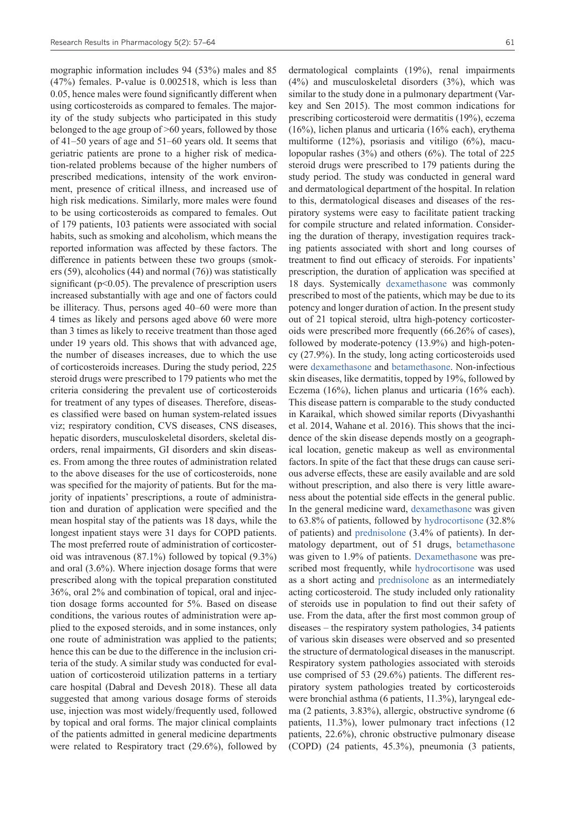mographic information includes 94 (53%) males and 85 (47%) females. P-value is 0.002518, which is less than 0.05, hence males were found significantly different when using corticosteroids as compared to females. The majority of the study subjects who participated in this study belonged to the age group of >60 years, followed by those of 41–50 years of age and 51–60 years old. It seems that geriatric patients are prone to a higher risk of medication-related problems because of the higher numbers of prescribed medications, intensity of the work environment, presence of critical illness, and increased use of high risk medications. Similarly, more males were found to be using corticosteroids as compared to females. Out of 179 patients, 103 patients were associated with social habits, such as smoking and alcoholism, which means the reported information was affected by these factors. The difference in patients between these two groups (smokers (59), alcoholics (44) and normal (76)) was statistically significant ( $p<0.05$ ). The prevalence of prescription users increased substantially with age and one of factors could be illiteracy. Thus, persons aged 40–60 were more than 4 times as likely and persons aged above 60 were more than 3 times as likely to receive treatment than those aged under 19 years old. This shows that with advanced age, the number of diseases increases, due to which the use of corticosteroids increases. During the study period, 225 steroid drugs were prescribed to 179 patients who met the criteria considering the prevalent use of corticosteroids for treatment of any types of diseases. Therefore, diseases classified were based on human system-related issues viz; respiratory condition, CVS diseases, CNS diseases, hepatic disorders, musculoskeletal disorders, skeletal disorders, renal impairments, GI disorders and skin diseases. From among the three routes of administration related to the above diseases for the use of corticosteroids, none was specified for the majority of patients. But for the majority of inpatients' prescriptions, a route of administration and duration of application were specified and the mean hospital stay of the patients was 18 days, while the longest inpatient stays were 31 days for COPD patients. The most preferred route of administration of corticosteroid was intravenous (87.1%) followed by topical (9.3%) and oral (3.6%). Where injection dosage forms that were prescribed along with the topical preparation constituted 36%, oral 2% and combination of topical, oral and injection dosage forms accounted for 5%. Based on disease conditions, the various routes of administration were applied to the exposed steroids, and in some instances, only one route of administration was applied to the patients; hence this can be due to the difference in the inclusion criteria of the study. A similar study was conducted for evaluation of corticosteroid utilization patterns in a tertiary care hospital (Dabral and Devesh 2018). These all data suggested that among various dosage forms of steroids use, injection was most widely/frequently used, followed by topical and oral forms. The major clinical complaints of the patients admitted in general medicine departments were related to Respiratory tract (29.6%), followed by

dermatological complaints (19%), renal impairments (4%) and musculoskeletal disorders (3%), which was similar to the study done in a pulmonary department (Varkey and Sen 2015). The most common indications for prescribing corticosteroid were dermatitis (19%), eczema (16%), lichen planus and urticaria (16% each), erythema multiforme (12%), psoriasis and vitiligo (6%), maculopopular rashes (3%) and others (6%). The total of 225 steroid drugs were prescribed to 179 patients during the study period. The study was conducted in general ward and dermatological department of the hospital. In relation to this, dermatological diseases and diseases of the respiratory systems were easy to facilitate patient tracking for compile structure and related information. Considering the duration of therapy, investigation requires tracking patients associated with short and long courses of treatment to find out efficacy of steroids. For inpatients' prescription, the duration of application was specified at 18 days. Systemically [dexamethasone](https://pubchem.ncbi.nlm.nih.gov/compound/Dexamethasone) was commonly prescribed to most of the patients, which may be due to its potency and longer duration of action. In the present study out of 21 topical steroid, ultra high-potency corticosteroids were prescribed more frequently (66.26% of cases), followed by moderate-potency (13.9%) and high-potency (27.9%). In the study, long acting corticosteroids used were [dexamethasone](https://pubchem.ncbi.nlm.nih.gov/compound/Dexamethasone) and [betamethasone](https://pubchem.ncbi.nlm.nih.gov/compound/Betamethasone). Non-infectious skin diseases, like dermatitis, topped by 19%, followed by Eczema (16%), lichen planus and urticaria (16% each). This disease pattern is comparable to the study conducted in Karaikal, which showed similar reports (Divyashanthi et al. 2014, Wahane et al. 2016). This shows that the incidence of the skin disease depends mostly on a geographical location, genetic makeup as well as environmental factors.In spite of the fact that these drugs can cause serious adverse effects, these are easily available and are sold without prescription, and also there is very little awareness about the potential side effects in the general public. In the general medicine ward, [dexamethasone](https://pubchem.ncbi.nlm.nih.gov/compound/Dexamethasone) was given to 63.8% of patients, followed by [hydrocortisone](https://pubchem.ncbi.nlm.nih.gov/compound/hydrocortisone) (32.8% of patients) and [prednisolone](https://pubchem.ncbi.nlm.nih.gov/compound/Prednisolone) (3.4% of patients). In dermatology department, out of 51 drugs, [betamethasone](https://pubchem.ncbi.nlm.nih.gov/compound/Betamethasone) was given to 1.9% of patients. [Dexamethasone](https://pubchem.ncbi.nlm.nih.gov/compound/Dexamethasone) was prescribed most frequently, while [hydrocortisone](https://pubchem.ncbi.nlm.nih.gov/compound/hydrocortisone) was used as a short acting and [prednisolone](https://pubchem.ncbi.nlm.nih.gov/compound/Prednisolone) as an intermediately acting corticosteroid. The study included only rationality of steroids use in population to find out their safety of use. From the data, after the first most common group of diseases – the respiratory system pathologies, 34 patients of various skin diseases were observed and so presented the structure of dermatological diseases in the manuscript. Respiratory system pathologies associated with steroids use comprised of 53 (29.6%) patients. The different respiratory system pathologies treated by corticosteroids were bronchial asthma (6 patients, 11.3%), laryngeal edema (2 patients, 3.83%), allergic, obstructive syndrome (6 patients, 11.3%), lower pulmonary tract infections (12 patients, 22.6%), chronic obstructive pulmonary disease (COPD) (24 patients, 45.3%), pneumonia (3 patients,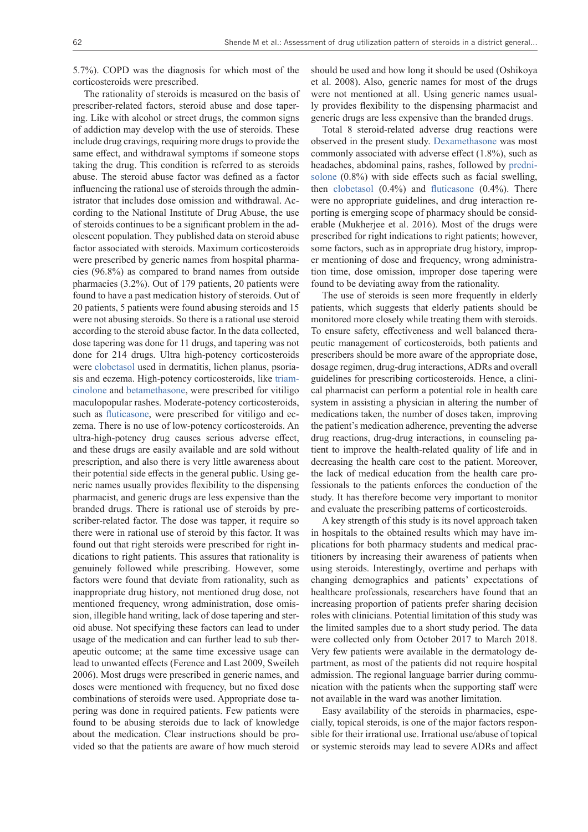5.7%). COPD was the diagnosis for which most of the corticosteroids were prescribed.

The rationality of steroids is measured on the basis of prescriber-related factors, steroid abuse and dose tapering. Like with alcohol or street drugs, the common signs of addiction may develop with the use of steroids. These include drug cravings, requiring more drugs to provide the same effect, and withdrawal symptoms if someone stops taking the drug. This condition is referred to as steroids abuse. The steroid abuse factor was defined as a factor influencing the rational use of steroids through the administrator that includes dose omission and withdrawal. According to the National Institute of Drug Abuse, the use of steroids continues to be a significant problem in the adolescent population. They published data on steroid abuse factor associated with steroids. Maximum corticosteroids were prescribed by generic names from hospital pharmacies (96.8%) as compared to brand names from outside pharmacies (3.2%). Out of 179 patients, 20 patients were found to have a past medication history of steroids. Out of 20 patients, 5 patients were found abusing steroids and 15 were not abusing steroids. So there is a rational use steroid according to the steroid abuse factor. In the data collected, dose tapering was done for 11 drugs, and tapering was not done for 214 drugs. Ultra high-potency corticosteroids were [clobetasol](https://pubchem.ncbi.nlm.nih.gov/compound/Clobetasol) used in dermatitis, lichen planus, psoriasis and eczema. High-potency corticosteroids, like [triam](https://pubchem.ncbi.nlm.nih.gov/compound/Triamcinolone)[cinolone](https://pubchem.ncbi.nlm.nih.gov/compound/Triamcinolone) and [betamethasone,](https://pubchem.ncbi.nlm.nih.gov/compound/Betamethasone) were prescribed for vitiligo maculopopular rashes. Moderate-potency corticosteroids, such as [fluticasone](https://pubchem.ncbi.nlm.nih.gov/compound/Fluticasone), were prescribed for vitiligo and eczema. There is no use of low-potency corticosteroids. An ultra-high-potency drug causes serious adverse effect, and these drugs are easily available and are sold without prescription, and also there is very little awareness about their potential side effects in the general public. Using generic names usually provides flexibility to the dispensing pharmacist, and generic drugs are less expensive than the branded drugs. There is rational use of steroids by prescriber-related factor. The dose was tapper, it require so there were in rational use of steroid by this factor. It was found out that right steroids were prescribed for right indications to right patients. This assures that rationality is genuinely followed while prescribing. However, some factors were found that deviate from rationality, such as inappropriate drug history, not mentioned drug dose, not mentioned frequency, wrong administration, dose omission, illegible hand writing, lack of dose tapering and steroid abuse. Not specifying these factors can lead to under usage of the medication and can further lead to sub therapeutic outcome; at the same time excessive usage can lead to unwanted effects (Ference and Last 2009, Sweileh 2006). Most drugs were prescribed in generic names, and doses were mentioned with frequency, but no fixed dose combinations of steroids were used. Appropriate dose tapering was done in required patients. Few patients were found to be abusing steroids due to lack of knowledge about the medication. Clear instructions should be provided so that the patients are aware of how much steroid

should be used and how long it should be used (Oshikoya et al. 2008). Also, generic names for most of the drugs were not mentioned at all. Using generic names usually provides flexibility to the dispensing pharmacist and generic drugs are less expensive than the branded drugs.

Total 8 steroid-related adverse drug reactions were observed in the present study. [Dexamethasone](https://pubchem.ncbi.nlm.nih.gov/compound/Dexamethasone) was most commonly associated with adverse effect (1.8%), such as headaches, abdominal pains, rashes, followed by [predni](https://pubchem.ncbi.nlm.nih.gov/compound/Prednisolone)[solone](https://pubchem.ncbi.nlm.nih.gov/compound/Prednisolone) (0.8%) with side effects such as facial swelling, then [clobetasol](https://pubchem.ncbi.nlm.nih.gov/compound/Clobetasol) (0.4%) and [fluticasone](https://pubchem.ncbi.nlm.nih.gov/compound/Fluticasone) (0.4%). There were no appropriate guidelines, and drug interaction reporting is emerging scope of pharmacy should be considerable (Mukherjee et al. 2016). Most of the drugs were prescribed for right indications to right patients; however, some factors, such as in appropriate drug history, improper mentioning of dose and frequency, wrong administration time, dose omission, improper dose tapering were found to be deviating away from the rationality.

The use of steroids is seen more frequently in elderly patients, which suggests that elderly patients should be monitored more closely while treating them with steroids. To ensure safety, effectiveness and well balanced therapeutic management of corticosteroids, both patients and prescribers should be more aware of the appropriate dose, dosage regimen, drug-drug interactions, ADRs and overall guidelines for prescribing corticosteroids. Hence, a clinical pharmacist can perform a potential role in health care system in assisting a physician in altering the number of medications taken, the number of doses taken, improving the patient's medication adherence, preventing the adverse drug reactions, drug-drug interactions, in counseling patient to improve the health-related quality of life and in decreasing the health care cost to the patient. Moreover, the lack of medical education from the health care professionals to the patients enforces the conduction of the study. It has therefore become very important to monitor and evaluate the prescribing patterns of corticosteroids.

A key strength of this study is its novel approach taken in hospitals to the obtained results which may have implications for both pharmacy students and medical practitioners by increasing their awareness of patients when using steroids. Interestingly, overtime and perhaps with changing demographics and patients' expectations of healthcare professionals, researchers have found that an increasing proportion of patients prefer sharing decision roles with clinicians. Potential limitation of this study was the limited samples due to a short study period. The data were collected only from October 2017 to March 2018. Very few patients were available in the dermatology department, as most of the patients did not require hospital admission. The regional language barrier during communication with the patients when the supporting staff were not available in the ward was another limitation.

Easy availability of the steroids in pharmacies, especially, topical steroids, is one of the major factors responsible for their irrational use. Irrational use/abuse of topical or systemic steroids may lead to severe ADRs and affect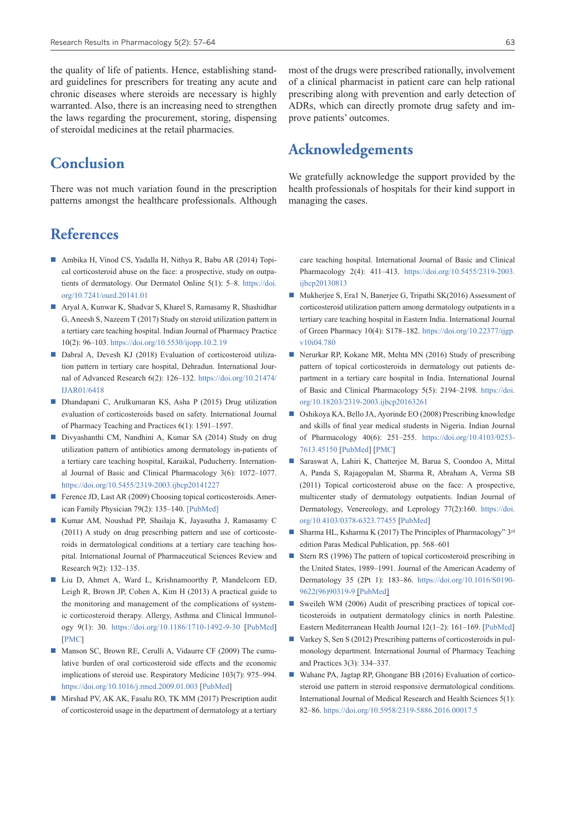the quality of life of patients. Hence, establishing standard guidelines for prescribers for treating any acute and chronic diseases where steroids are necessary is highly warranted. Also, there is an increasing need to strengthen the laws regarding the procurement, storing, dispensing of steroidal medicines at the retail pharmacies.

## **Conclusion**

There was not much variation found in the prescription patterns amongst the healthcare professionals. Although

# **References**

- Ambika H, Vinod CS, Yadalla H, Nithya R, Babu AR (2014) Topical corticosteroid abuse on the face: a prospective, study on outpatients of dermatology. Our Dermatol Online 5(1): 5–8. [https://doi.](https://doi.org/10.7241/ourd.20141.01) [org/10.7241/ourd.20141.01](https://doi.org/10.7241/ourd.20141.01)
- Aryal A, Kunwar K, Shadvar S, Kharel S, Ramasamy R, Shashidhar G, Aneesh S, Nazeem T (2017) Study on steroid utilization pattern in a tertiary care teaching hospital. Indian Journal of Pharmacy Practice 10(2): 96–103. <https://doi.org/10.5530/ijopp.10.2.19>
- Dabral A, Devesh KJ (2018) Evaluation of corticosteroid utilization pattern in tertiary care hospital, Dehradun. International Journal of Advanced Research 6(2): 126–132. [https://doi.org/10.21474/](https://doi.org/10.21474/IJAR01/6418) [IJAR01/6418](https://doi.org/10.21474/IJAR01/6418)
- Dhandapani C, Arulkumaran KS, Asha P (2015) Drug utilization evaluation of corticosteroids based on safety. International Journal of Pharmacy Teaching and Practices 6(1): 1591–1597.
- Divyashanthi CM, Nandhini A, Kumar SA (2014) Study on drug utilization pattern of antibiotics among dermatology in-patients of a tertiary care teaching hospital, Karaikal, Puducherry. International Journal of Basic and Clinical Pharmacology 3(6): 1072–1077. <https://doi.org/10.5455/2319-2003.ijbcp20141227>
- Ference JD, Last AR (2009) Choosing topical corticosteroids. American Family Physician 79(2): 135–140. [\[PubMed\]](https://www.ncbi.nlm.nih.gov/pubmed/19178066)
- Kumar AM, Noushad PP, Shailaja K, Jayasutha J, Ramasamy C (2011) A study on drug prescribing pattern and use of corticosteroids in dermatological conditions at a tertiary care teaching hospital. International Journal of Pharmaceutical Sciences Review and Research 9(2): 132–135.
- Liu D, Ahmet A, Ward L, Krishnamoorthy P, Mandelcorn ED, Leigh R, Brown JP, Cohen A, Kim H (2013) A practical guide to the monitoring and management of the complications of systemic corticosteroid therapy. Allergy, Asthma and Clinical Immunology 9(1): 30. <https://doi.org/10.1186/1710-1492-9-30> [[PubMed\]](https://www.ncbi.nlm.nih.gov/pubmed/23947590) [\[PMC](https://www.ncbi.nlm.nih.gov/pmc/articles/PMC3765115/)]
- Manson SC, Brown RE, Cerulli A, Vidaurre CF (2009) The cumulative burden of oral corticosteroid side effects and the economic implications of steroid use. Respiratory Medicine 103(7): 975–994. <https://doi.org/10.1016/j.rmed.2009.01.003> [\[PubMed](https://www.ncbi.nlm.nih.gov/pubmed/19372037)]
- Mirshad PV, AK AK, Fasalu RO, TK MM (2017) Prescription audit of corticosteroid usage in the department of dermatology at a tertiary

most of the drugs were prescribed rationally, involvement of a clinical pharmacist in patient care can help rational prescribing along with prevention and early detection of ADRs, which can directly promote drug safety and improve patients' outcomes.

## **Acknowledgements**

We gratefully acknowledge the support provided by the health professionals of hospitals for their kind support in managing the cases.

care teaching hospital. International Journal of Basic and Clinical Pharmacology 2(4): 411–413. [https://doi.org/10.5455/2319-2003.](https://doi.org/10.5455/2319-2003.ijbcp20130813) [ijbcp20130813](https://doi.org/10.5455/2319-2003.ijbcp20130813)

- Mukherjee S, Era1 N, Banerjee G, Tripathi SK(2016) Assessment of corticosteroid utilization pattern among dermatology outpatients in a tertiary care teaching hospital in Eastern India. International Journal of Green Pharmacy 10(4): S178–182. [https://doi.org/10.22377/ijgp.](https://doi.org/10.22377/ijgp.v10i04.780) [v10i04.780](https://doi.org/10.22377/ijgp.v10i04.780)
- Nerurkar RP, Kokane MR, Mehta MN (2016) Study of prescribing pattern of topical corticosteroids in dermatology out patients department in a tertiary care hospital in India. International Journal of Basic and Clinical Pharmacology 5(5): 2194–2198. [https://doi.](https://doi.org/10.18203/2319-2003.ijbcp20163261) [org/10.18203/2319-2003.ijbcp20163261](https://doi.org/10.18203/2319-2003.ijbcp20163261)
- Oshikoya KA, Bello JA, Ayorinde EO (2008) Prescribing knowledge and skills of final year medical students in Nigeria. Indian Journal of Pharmacology 40(6): 251–255. [https://doi.org/10.4103/0253-](https://doi.org/10.4103/0253-7613.45150) [7613.45150](https://doi.org/10.4103/0253-7613.45150) [\[PubMed](https://www.ncbi.nlm.nih.gov/pubmed/21279180)] [[PMC\]](https://www.ncbi.nlm.nih.gov/pmc/articles/PMC3025141/)
- Saraswat A, Lahiri K, Chatterjee M, Barua S, Coondoo A, Mittal A, Panda S, Rajagopalan M, Sharma R, Abraham A, Verma SB (2011) Topical corticosteroid abuse on the face: A prospective, multicenter study of dermatology outpatients. Indian Journal of Dermatology, Venereology, and Leprology 77(2):160. [https://doi.](https://doi.org/10.4103/0378-6323.77455) [org/10.4103/0378-6323.77455](https://doi.org/10.4103/0378-6323.77455) [[PubMed](https://www.ncbi.nlm.nih.gov/pubmed/21393945)]
- Sharma HL, Ksharma K (2017) The Principles of Pharmacology"  $3<sup>rd</sup>$ edition Paras Medical Publication, pp. 568–601
- Stern RS (1996) The pattern of topical corticosteroid prescribing in the United States, 1989–1991. Journal of the American Academy of Dermatology 35 (2Pt 1): 183–86. [https://doi.org/10.1016/S0190-](https://doi.org/10.1016/S0190-9622(96)90319-9) [9622\(96\)90319-9](https://doi.org/10.1016/S0190-9622(96)90319-9) [\[PubMed](https://www.ncbi.nlm.nih.gov/pubmed/8708016)]
- Sweileh WM (2006) Audit of prescribing practices of topical corticosteroids in outpatient dermatology clinics in north Palestine. Eastern Mediterranean Health Journal 12(1–2): 161–169. [[PubMed](https://www.ncbi.nlm.nih.gov/pubmed/17037234)]
- Varkey S, Sen S (2012) Prescribing patterns of corticosteroids in pulmonology department. International Journal of Pharmacy Teaching and Practices 3(3): 334–337.
- Wahane PA, Jagtap RP, Ghongane BB (2016) Evaluation of corticosteroid use pattern in steroid responsive dermatological conditions. International Journal of Medical Research and Health Sciences 5(1): 82–86. <https://doi.org/10.5958/2319-5886.2016.00017.5>